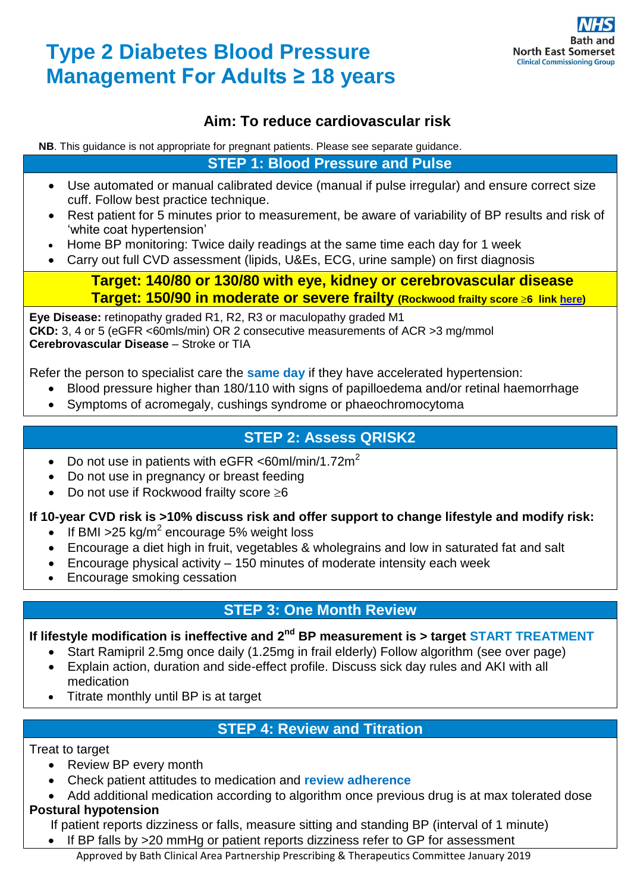# **Type 2 Diabetes Blood Pressure Management For Adults ≥ 18 years**



# **Aim: To reduce cardiovascular risk**

**NB**. This guidance is not appropriate for pregnant patients. Please see separate guidance.

**STEP 1: Blood Pressure and Pulse**

- Use automated or manual calibrated device (manual if pulse irregular) and ensure correct size cuff. Follow best practice technique.
- Rest patient for 5 minutes prior to measurement, be aware of variability of BP results and risk of 'white coat hypertension'
- Home BP monitoring: Twice daily readings at the same time each day for 1 week
- Carry out full CVD assessment (lipids, U&Es, ECG, urine sample) on first diagnosis

#### **Target: 140/80 or 130/80 with eye, kidney or cerebrovascular disease Target: 150/90 in moderate or severe frailty (Rockwood frailty score 6 link [here\)](https://www.cgakit.com/fr-1-rockwood-clinical-frailty-scale)**

**Eye Disease:** retinopathy graded R1, R2, R3 or maculopathy graded M1 **CKD:** 3, 4 or 5 (eGFR <60mls/min) OR 2 consecutive measurements of ACR >3 mg/mmol **Cerebrovascular Disease** – Stroke or TIA

Refer the person to specialist care the **same day** if they have accelerated hypertension:

- Blood pressure higher than 180/110 with signs of papilloedema and/or retinal haemorrhage
- Symptoms of acromegaly, cushings syndrome or phaeochromocytoma

# **STEP 2: Assess QRISK2**

- Do not use in patients with eGFR <60ml/min/1.72m<sup>2</sup>
- Do not use in pregnancy or breast feeding
- Do not use if Rockwood frailty score  $\geq 6$

#### **If 10-year CVD risk is >10% discuss risk and offer support to change lifestyle and modify risk:**

- If BMI > 25 kg/m<sup>2</sup> encourage 5% weight loss
- Encourage a diet high in fruit, vegetables & wholegrains and low in saturated fat and salt
- Encourage physical activity 150 minutes of moderate intensity each week
- Encourage smoking cessation

## **STEP 3: One Month Review**

#### If lifestyle modification is ineffective and 2<sup>nd</sup> BP measurement is > target START TREATMENT

- Start Ramipril 2.5mg once daily (1.25mg in frail elderly) Follow algorithm (see over page)
- Explain action, duration and side-effect profile. Discuss sick day rules and AKI with all medication
- Titrate monthly until BP is at target

# **STEP 4: Review and Titration**

#### Treat to target

- Review BP every month
- Check patient attitudes to medication and **review adherence**
- Add additional medication according to algorithm once previous drug is at max tolerated dose

#### **Postural hypotension**

If patient reports dizziness or falls, measure sitting and standing BP (interval of 1 minute)

• If BP falls by >20 mmHg or patient reports dizziness refer to GP for assessment

Approved by Bath Clinical Area Partnership Prescribing & Therapeutics Committee January 2019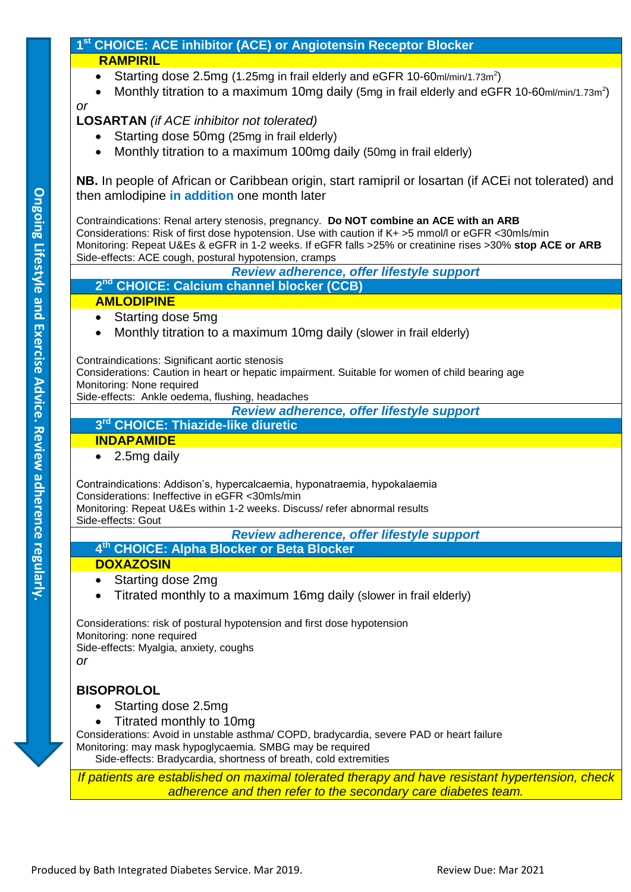#### **1 st CHOICE: ACE inhibitor (ACE) or Angiotensin Receptor Blocker RAMPIRIL**

- Starting dose 2.5mg (1.25mg in frail elderly and eGFR 10-60ml/min/1.73m<sup>2</sup>)
- Monthly titration to a maximum 10mg daily (5mg in frail elderly and eGFR 10-60ml/min/1.73m<sup>2</sup>)

*or*

### **LOSARTAN** *(if ACE inhibitor not tolerated)*

- Starting dose 50mg (25mg in frail elderly)
- Monthly titration to a maximum 100mg daily (50mg in frail elderly)

**NB.** In people of African or Caribbean origin, start ramipril or losartan (if ACEi not tolerated) and then amlodipine **in addition** one month later

Contraindications: Renal artery stenosis, pregnancy. **Do NOT combine an ACE with an ARB** Considerations: Risk of first dose hypotension. Use with caution if K+ >5 mmol/l or eGFR <30mls/min Monitoring: Repeat U&Es & eGFR in 1-2 weeks. If eGFR falls >25% or creatinine rises >30% **stop ACE or ARB** Side-effects: ACE cough, postural hypotension, cramps

*Review adherence, offer lifestyle support* **2 nd CHOICE: Calcium channel blocker (CCB)**

#### **AMLODIPINE**

- Starting dose 5mg
- Monthly titration to a maximum 10mg daily (slower in frail elderly)

Contraindications: Significant aortic stenosis

Considerations: Caution in heart or hepatic impairment. Suitable for women of child bearing age Monitoring: None required

Side-effects: Ankle oedema, flushing, headaches

*Review adherence, offer lifestyle support*

# **3 rd CHOICE: Thiazide-like diuretic**

### **INDAPAMIDE**

• 2.5mg daily

Contraindications: Addison's, hypercalcaemia, hyponatraemia, hypokalaemia Considerations: Ineffective in eGFR <30mls/min

Monitoring: Repeat U&Es within 1-2 weeks. Discuss/ refer abnormal results Side-effects: Gout

*Review adherence, offer lifestyle support*

**4 th CHOICE: Alpha Blocker or Beta Blocker**

#### **DOXAZOSIN**

- Starting dose 2mg
- Titrated monthly to a maximum 16mg daily (slower in frail elderly)

Considerations: risk of postural hypotension and first dose hypotension Monitoring: none required Side-effects: Myalgia, anxiety, coughs

*or*

## **BISOPROLOL**

- Starting dose 2.5mg
- Titrated monthly to 10mg

Considerations: Avoid in unstable asthma/ COPD, bradycardia, severe PAD or heart failure Monitoring: may mask hypoglycaemia. SMBG may be required

Side-effects: Bradycardia, shortness of breath, cold extremities

*If patients are established on maximal tolerated therapy and have resistant hypertension, check adherence and then refer to the secondary care diabetes team.*